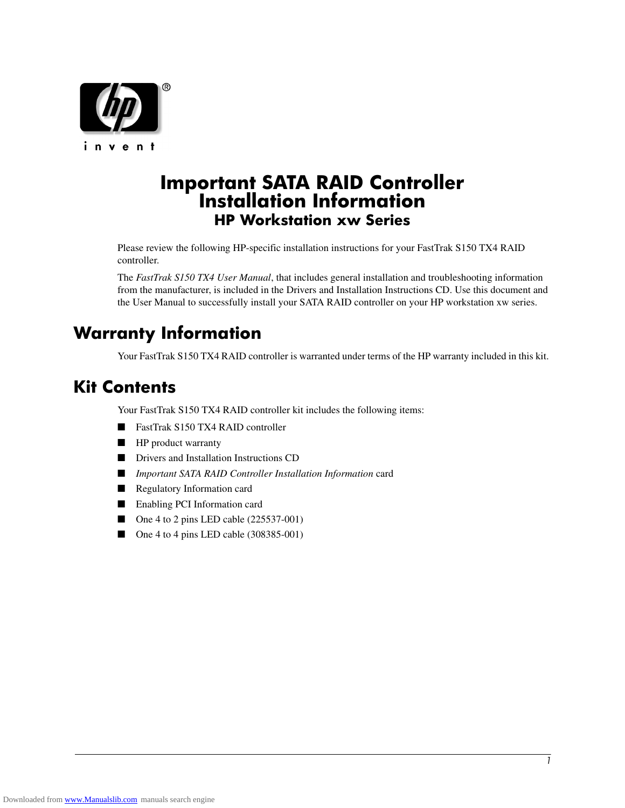

# **Important SATA RAID Controller Installation Information HP Workstation xw Series**

Please review the following HP-specific installation instructions for your FastTrak S150 TX4 RAID controller.

The *FastTrak S150 TX4 User Manual*, that includes general installation and troubleshooting information from the manufacturer, is included in the Drivers and Installation Instructions CD. Use this document and the User Manual to successfully install your SATA RAID controller on your HP workstation xw series.

# **Warranty Information**

Your FastTrak S150 TX4 RAID controller is warranted under terms of the HP warranty included in this kit.

# **Kit Contents**

Your FastTrak S150 TX4 RAID controller kit includes the following items:

- FastTrak S150 TX4 RAID controller
- HP product warranty
- Drivers and Installation Instructions CD
- *Important SATA RAID Controller Installation Information* card
- Regulatory Information card
- Enabling PCI Information card
- One 4 to 2 pins LED cable (225537-001)
- One 4 to 4 pins LED cable (308385-001)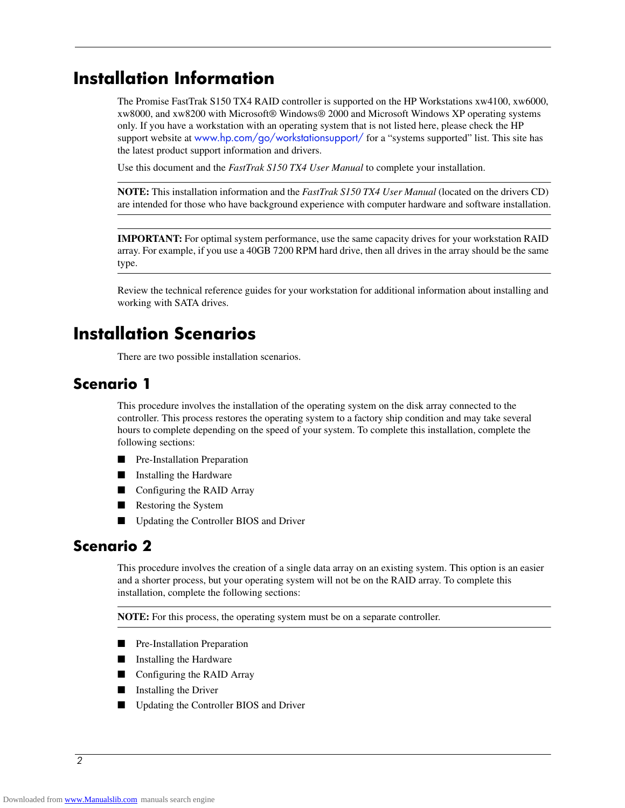# **Installation Information**

The Promise FastTrak S150 TX4 RAID controller is supported on the HP Workstations xw4100, xw6000, xw8000, and xw8200 with Microsoft® Windows® 2000 and Microsoft Windows XP operating systems only. If you have a workstation with an operating system that is not listed here, please check the HP support website at www.hp.com/go/workstationsupport/ for a "systems supported" list. This site has the latest product support information and drivers.

Use this document and the *FastTrak S150 TX4 User Manual* to complete your installation.

**NOTE:** This installation information and the *FastTrak S150 TX4 User Manual* (located on the drivers CD) are intended for those who have background experience with computer hardware and software installation.

**IMPORTANT:** For optimal system performance, use the same capacity drives for your workstation RAID array. For example, if you use a 40GB 7200 RPM hard drive, then all drives in the array should be the same type.

Review the technical reference guides for your workstation for additional information about installing and working with SATA drives.

# **Installation Scenarios**

There are two possible installation scenarios.

# **Scenario 1**

This procedure involves the installation of the operating system on the disk array connected to the controller. This process restores the operating system to a factory ship condition and may take several hours to complete depending on the speed of your system. To complete this installation, complete the following sections:

- Pre-Installation Preparation
- Installing the Hardware
- Configuring the RAID Array
- Restoring the System
- Updating the Controller BIOS and Driver

# **Scenario 2**

This procedure involves the creation of a single data array on an existing system. This option is an easier and a shorter process, but your operating system will not be on the RAID array. To complete this installation, complete the following sections:

**NOTE:** For this process, the operating system must be on a separate controller.

- Pre-Installation Preparation
- Installing the Hardware
- Configuring the RAID Array
- Installing the Driver
- Updating the Controller BIOS and Driver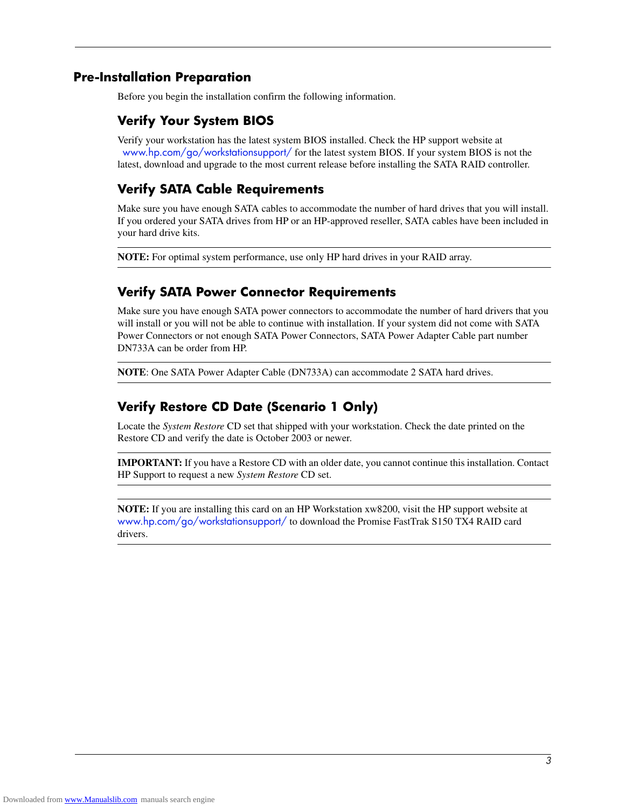### **Pre-Installation Preparation**

Before you begin the installation confirm the following information.

### **Verify Your System BIOS**

Verify your workstation has the latest system BIOS installed. Check the HP support website at www.hp.com/go/workstationsupport/ for the latest system BIOS. If your system BIOS is not the latest, download and upgrade to the most current release before installing the SATA RAID controller.

# **Verify SATA Cable Requirements**

Make sure you have enough SATA cables to accommodate the number of hard drives that you will install. If you ordered your SATA drives from HP or an HP-approved reseller, SATA cables have been included in your hard drive kits.

**NOTE:** For optimal system performance, use only HP hard drives in your RAID array.

### **Verify SATA Power Connector Requirements**

Make sure you have enough SATA power connectors to accommodate the number of hard drivers that you will install or you will not be able to continue with installation. If your system did not come with SATA Power Connectors or not enough SATA Power Connectors, SATA Power Adapter Cable part number DN733A can be order from HP.

**NOTE**: One SATA Power Adapter Cable (DN733A) can accommodate 2 SATA hard drives.

## **Verify Restore CD Date (Scenario 1 Only)**

Locate the *System Restore* CD set that shipped with your workstation. Check the date printed on the Restore CD and verify the date is October 2003 or newer.

**IMPORTANT:** If you have a Restore CD with an older date, you cannot continue this installation. Contact HP Support to request a new *System Restore* CD set.

**NOTE:** If you are installing this card on an HP Workstation xw8200, visit the HP support website at www.hp.com/go/workstationsupport/ to download the Promise FastTrak S150 TX4 RAID card drivers.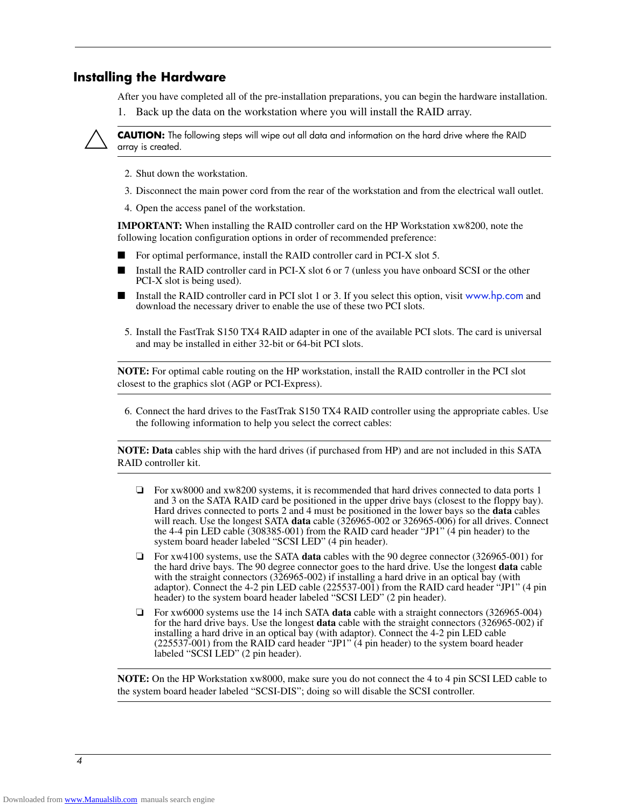#### **Installing the Hardware**

After you have completed all of the pre-installation preparations, you can begin the hardware installation.

1. Back up the data on the workstation where you will install the RAID array.



**CAUTION:** The following steps will wipe out all data and information on the hard drive where the RAID array is created.

- 2. Shut down the workstation.
- 3. Disconnect the main power cord from the rear of the workstation and from the electrical wall outlet.
- 4. Open the access panel of the workstation.

**IMPORTANT:** When installing the RAID controller card on the HP Workstation xw8200, note the following location configuration options in order of recommended preference:

- For optimal performance, install the RAID controller card in PCI-X slot 5.
- Install the RAID controller card in PCI-X slot 6 or 7 (unless you have onboard SCSI or the other PCI-X slot is being used).
- Install the RAID controller card in PCI slot 1 or 3. If you select this option, visit www.hp.com and download the necessary driver to enable the use of these two PCI slots.
- 5. Install the FastTrak S150 TX4 RAID adapter in one of the available PCI slots. The card is universal and may be installed in either 32-bit or 64-bit PCI slots.

**NOTE:** For optimal cable routing on the HP workstation, install the RAID controller in the PCI slot closest to the graphics slot (AGP or PCI-Express).

6. Connect the hard drives to the FastTrak S150 TX4 RAID controller using the appropriate cables. Use the following information to help you select the correct cables:

**NOTE: Data** cables ship with the hard drives (if purchased from HP) and are not included in this SATA RAID controller kit.

- ❏ For xw8000 and xw8200 systems, it is recommended that hard drives connected to data ports 1 and 3 on the SATA RAID card be positioned in the upper drive bays (closest to the floppy bay). Hard drives connected to ports 2 and 4 must be positioned in the lower bays so the **data** cables will reach. Use the longest SATA **data** cable (326965-002 or 326965-006) for all drives. Connect the 4-4 pin LED cable (308385-001) from the RAID card header "JP1" (4 pin header) to the system board header labeled "SCSI LED" (4 pin header).
- ❏ For xw4100 systems, use the SATA **data** cables with the 90 degree connector (326965-001) for the hard drive bays. The 90 degree connector goes to the hard drive. Use the longest **data** cable with the straight connectors (326965-002) if installing a hard drive in an optical bay (with adaptor). Connect the 4-2 pin LED cable (225537-001) from the RAID card header "JP1" (4 pin header) to the system board header labeled "SCSI LED" (2 pin header).
- ❏ For xw6000 systems use the 14 inch SATA **data** cable with a straight connectors (326965-004) for the hard drive bays. Use the longest **data** cable with the straight connectors (326965-002) if installing a hard drive in an optical bay (with adaptor). Connect the 4-2 pin LED cable (225537-001) from the RAID card header "JP1" (4 pin header) to the system board header labeled "SCSI LED" (2 pin header).

**NOTE:** On the HP Workstation xw8000, make sure you do not connect the 4 to 4 pin SCSI LED cable to the system board header labeled "SCSI-DIS"; doing so will disable the SCSI controller.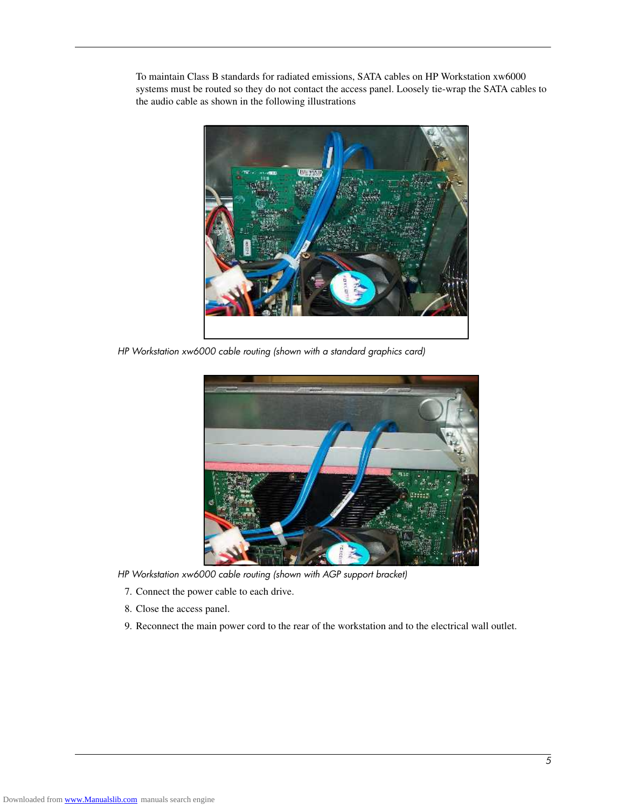To maintain Class B standards for radiated emissions, SATA cables on HP Workstation xw6000 systems must be routed so they do not contact the access panel. Loosely tie-wrap the SATA cables to the audio cable as shown in the following illustrations



*HP Workstation xw6000 cable routing (shown with a standard graphics card)*



*HP Workstation xw6000 cable routing (shown with AGP support bracket)*

- 7. Connect the power cable to each drive.
- 8. Close the access panel.
- 9. Reconnect the main power cord to the rear of the workstation and to the electrical wall outlet.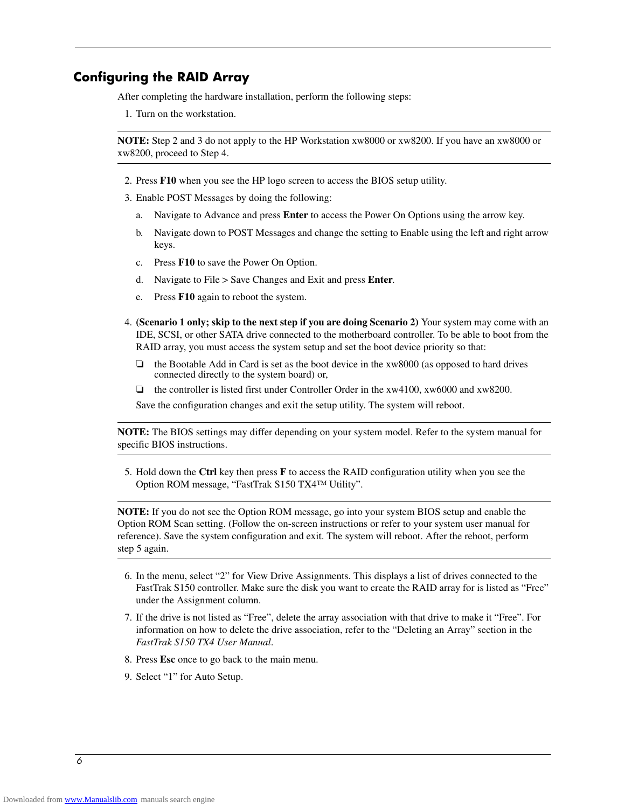### **Configuring the RAID Array**

After completing the hardware installation, perform the following steps:

1. Turn on the workstation.

**NOTE:** Step 2 and 3 do not apply to the HP Workstation xw8000 or xw8200. If you have an xw8000 or xw8200, proceed to Step 4.

- 2. Press **F10** when you see the HP logo screen to access the BIOS setup utility.
- 3. Enable POST Messages by doing the following:
	- a. Navigate to Advance and press **Enter** to access the Power On Options using the arrow key.
	- b. Navigate down to POST Messages and change the setting to Enable using the left and right arrow keys.
	- c. Press **F10** to save the Power On Option.
	- d. Navigate to File > Save Changes and Exit and press **Enter**.
	- e. Press **F10** again to reboot the system.
- 4. **(Scenario 1 only; skip to the next step if you are doing Scenario 2)** Your system may come with an IDE, SCSI, or other SATA drive connected to the motherboard controller. To be able to boot from the RAID array, you must access the system setup and set the boot device priority so that:
	- ❏ the Bootable Add in Card is set as the boot device in the xw8000 (as opposed to hard drives connected directly to the system board) or,
	- ❏ the controller is listed first under Controller Order in the xw4100, xw6000 and xw8200.

Save the configuration changes and exit the setup utility. The system will reboot.

**NOTE:** The BIOS settings may differ depending on your system model. Refer to the system manual for specific BIOS instructions.

5. Hold down the **Ctrl** key then press **F** to access the RAID configuration utility when you see the Option ROM message, "FastTrak S150 TX4™ Utility".

**NOTE:** If you do not see the Option ROM message, go into your system BIOS setup and enable the Option ROM Scan setting. (Follow the on-screen instructions or refer to your system user manual for reference). Save the system configuration and exit. The system will reboot. After the reboot, perform step 5 again.

- 6. In the menu, select "2" for View Drive Assignments. This displays a list of drives connected to the FastTrak S150 controller. Make sure the disk you want to create the RAID array for is listed as "Free" under the Assignment column.
- 7. If the drive is not listed as "Free", delete the array association with that drive to make it "Free". For information on how to delete the drive association, refer to the "Deleting an Array" section in the *FastTrak S150 TX4 User Manual*.
- 8. Press **Esc** once to go back to the main menu.
- 9. Select "1" for Auto Setup.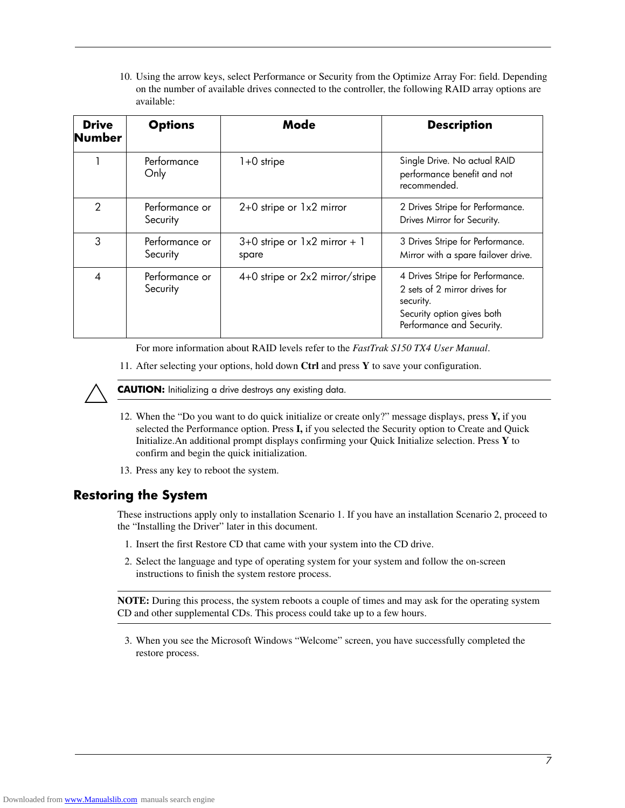10. Using the arrow keys, select Performance or Security from the Optimize Array For: field. Depending on the number of available drives connected to the controller, the following RAID array options are available:

| <b>Drive</b><br><b>Number</b> | <b>Options</b>             | Mode                                            | <b>Description</b>                                                                                                                        |
|-------------------------------|----------------------------|-------------------------------------------------|-------------------------------------------------------------------------------------------------------------------------------------------|
|                               | Performance<br>Only        | $1+0$ stripe                                    | Single Drive. No actual RAID<br>performance benefit and not<br>recommended.                                                               |
| $\mathcal{P}$                 | Performance or<br>Security | $2+0$ stripe or $1\times 2$ mirror              | 2 Drives Stripe for Performance.<br>Drives Mirror for Security.                                                                           |
| 3                             | Performance or<br>Security | $3+0$ stripe or $1\times 2$ mirror + 1<br>spare | 3 Drives Stripe for Performance.<br>Mirror with a spare failover drive.                                                                   |
| 4                             | Performance or<br>Security | 4+0 stripe or 2x2 mirror/stripe                 | 4 Drives Stripe for Performance.<br>2 sets of 2 mirror drives for<br>security.<br>Security option gives both<br>Performance and Security. |

For more information about RAID levels refer to the *FastTrak S150 TX4 User Manual*.

11. After selecting your options, hold down **Ctrl** and press **Y** to save your configuration.



**CAUTION:** Initializing a drive destroys any existing data.

- 12. When the "Do you want to do quick initialize or create only?" message displays, press **Y,** if you selected the Performance option. Press **I,** if you selected the Security option to Create and Quick Initialize.An additional prompt displays confirming your Quick Initialize selection. Press **Y** to confirm and begin the quick initialization.
- 13. Press any key to reboot the system.

### **Restoring the System**

These instructions apply only to installation Scenario 1. If you have an installation Scenario 2, proceed to the "Installing the Driver" later in this document.

- 1. Insert the first Restore CD that came with your system into the CD drive.
- 2. Select the language and type of operating system for your system and follow the on-screen instructions to finish the system restore process.

**NOTE:** During this process, the system reboots a couple of times and may ask for the operating system CD and other supplemental CDs. This process could take up to a few hours.

3. When you see the Microsoft Windows "Welcome" screen, you have successfully completed the restore process.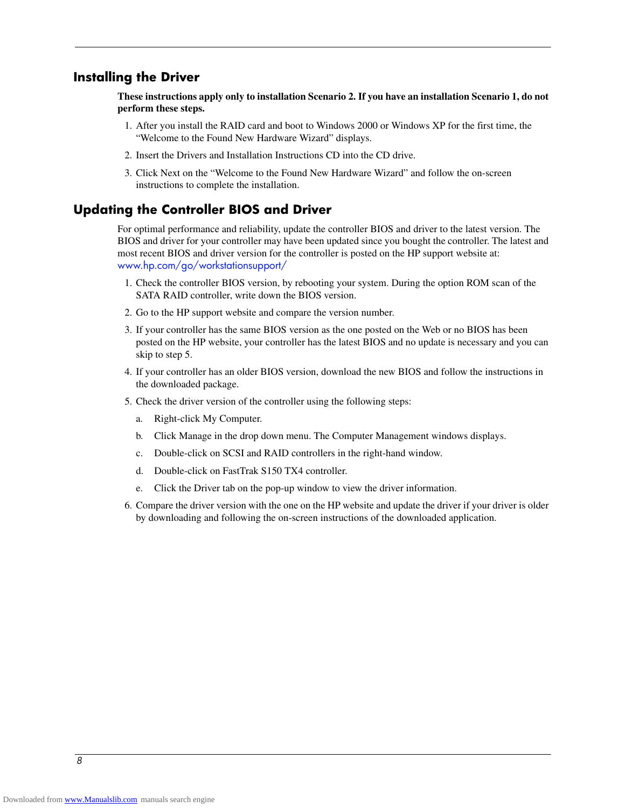#### **Installing the Driver**

**These instructions apply only to installation Scenario 2. If you have an installation Scenario 1, do not perform these steps.**

- 1. After you install the RAID card and boot to Windows 2000 or Windows XP for the first time, the "Welcome to the Found New Hardware Wizard" displays.
- 2. Insert the Drivers and Installation Instructions CD into the CD drive.
- 3. Click Next on the "Welcome to the Found New Hardware Wizard" and follow the on-screen instructions to complete the installation.

#### **Updating the Controller BIOS and Driver**

For optimal performance and reliability, update the controller BIOS and driver to the latest version. The BIOS and driver for your controller may have been updated since you bought the controller. The latest and most recent BIOS and driver version for the controller is posted on the HP support website at: www.hp.com/go/workstationsupport/

- 1. Check the controller BIOS version, by rebooting your system. During the option ROM scan of the SATA RAID controller, write down the BIOS version.
- 2. Go to the HP support website and compare the version number.
- 3. If your controller has the same BIOS version as the one posted on the Web or no BIOS has been posted on the HP website, your controller has the latest BIOS and no update is necessary and you can skip to step 5.
- 4. If your controller has an older BIOS version, download the new BIOS and follow the instructions in the downloaded package.
- 5. Check the driver version of the controller using the following steps:
	- a. Right-click My Computer.
	- b. Click Manage in the drop down menu. The Computer Management windows displays.
	- c. Double-click on SCSI and RAID controllers in the right-hand window.
	- d. Double-click on FastTrak S150 TX4 controller.
	- e. Click the Driver tab on the pop-up window to view the driver information.
- 6. Compare the driver version with the one on the HP website and update the driver if your driver is older by downloading and following the on-screen instructions of the downloaded application.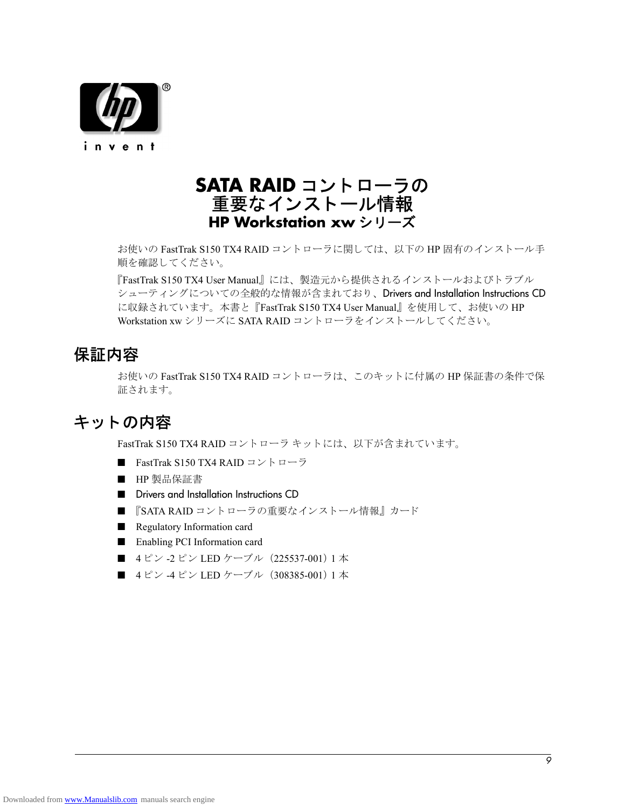

# **SATA RAID** コン ト ローラの 重要なインストール情報 **HP Workstation xw** シリーズ

お使いの FastTrak S150 TX4 RAID コントローラに関しては、以下の HP 固有のインストール手 順を確認してください。

『FastTrak S150 TX4 User Manual』には、製造元から提供されるインストールおよびトラブル シューティングについての全般的な情報が含まれており、Drivers and Installation Instructions CD に収録されています。本書と『FastTrak S150 TX4 User Manual』を使用して、お使いの HP Workstation xw シリーズに SATA RAID コントローラをインストールしてください。

# 保証内容

お使いの FastTrak S150 TX4 RAID コントローラは、このキットに付属の HP 保証書の条件で保 証されます。

# キットの内容

FastTrak S150 TX4 RAID コントローラ キットには、以下が含まれています。

- FastTrak S150 TX4 RAID コン ト ローラ
- HP 製品保証書
- Drivers and Installation Instructions CD
- 『SATA RAID コントローラの重要なインストール情報』カード
- Regulatory Information card
- Enabling PCI Information card
- 4ピン -2ピン LED ケーブル (225537-001) 1本
- 4ピン -4ピン LED ケーブル (308385-001) 1 本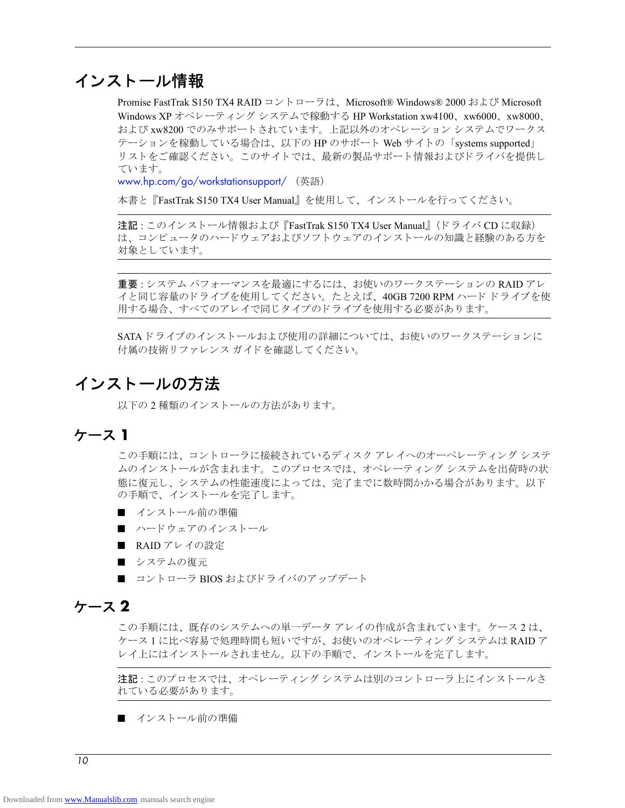# インストール情報

Promise FastTrak S150 TX4 RAID コントローラは、Microsoft® Windows® 2000 および Microsoft Windows XP オペレーティング システムで稼動する HP Workstation xw4100、xw6000、xw8000、 および xw8200 でのみサポートされています。上記以外のオペレーション システムでワークス テーションを稼動している場合は、以下の HP のサポート Web サイトの「systems supported」 リストをご確認ください。このサイトでは、最新の製品サポート情報およびドライバを提供し ています。

www.hp.com/go/workstationsupport/ (英語)

本書と『FastTrak S150 TX4 User Manual』を使用して、インストールを行ってください。

注記:このインストール情報および『FastTrak S150 TX4 User Manual』 (ドライバ CD に収録) は、コンピュータのハードウェアおよびソフトウェアのインストールの知識と経験のある方を 対象としています。

重要: システム パフォーマンスを最適にするには、お使いのワークステーションの RAID アレ イと同じ容量のドライブを使用してください。たとえば、40GB 7200 RPM ハード ドライブを使 用する場合、 すべてのアレ イで同じ タ イプの ド ラ イブを使用する必要があ り ます。

SATAドライブのインストールおよび使用の詳細については、お使いのワークステーションに 付属の技術リファレンス ガイドを確認してください。

# インストールの方法

以下の2種類のインストールの方法があります。

## ケース **1**

この手順には、コントローラに接続されているディスク アレイへのオーペレーティング システ ムのインストールが含まれます。このプロセスでは、オペレーティング システムを出荷時の状 態に復元し、システムの性能速度によっては、完了までに数時間かかる場合があります。以下 の手順で、インストールを完了します。

- インストール前の準備
- ハードウェアのインストール
- RAID アレイの設定
- システムの復元
- コントローラ BIOS およびドライバのアップデート

### ケース **2**

こ の手順には、 既存のシステムへの単一データ アレ イの作成が含まれています。 ケース 2 は、 ケース1に比べ容易で処理時間も短いですが、お使いのオペレーティングシステムは RAID ア レイ上にはインストールされません。以下の手順で、インストールを完了します。

注記 : このプロセスでは、オペレーティング システムは別のコントローラ上にインストールさ れている必要があります。

■ インストール前の準備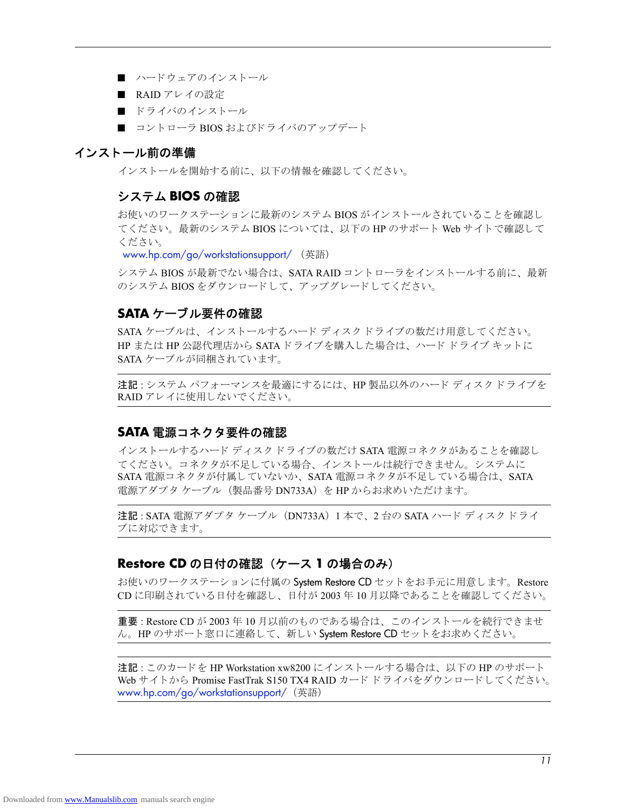- ハードウェアのインストール
- RAID アレイの設定
- ドライバのインストール
- コントローラ BIOS およびドライバのアップデート

#### インストール前の準備

インストールを開始する前に、以下の情報を確認してください。

#### システム **BIOS** の確認

お使いのワークステーションに最新のシステム BIOS がインストールされていることを確認し てください。最新のシステム BIOS については、以下の HP のサポート Web サイトで確認して く ださい。

www.hp.com/go/workstationsupport/ (英語)

システム BIOS が最新でない場合は、SATA RAID コントローラをインストールする前に、最新 のシステム BIOS をダウンロードして、アップグレードしてください。

#### **SATA** ケーブル要件の確認

SATA ケーブルは、インストールするハード ディスク ドライブの数だけ用意してください。 HP または HP 公認代理店から SATA ドライブを購入した場合は、ハード ドライブ キットに SATA ケーブルが同梱されています。

注記 : システム パフォーマンスを最適にするには、HP 製品以外のハード ディスク ドライブを RAID アレイに使用しないでください。

### **SATA** 電源コネク タ要件の確認

インストールするハード ディスク ドライブの数だけ SATA 電源コネクタがあることを確認し てください。コネクタが不足している場合、インストールは続行できません。システムに SATA 電源コネクタが付属していないか、SATA 電源コネクタが不足している場合は、SATA 電源アダプタ ケーブル (製品番号 DN733A) を HP からお求めいただけます。

注記 : SATA 電源アダプタ ケーブル (DN733A) 1 本で、 2 台の SATA ハード ディスク ドライ ブに対応でき ます。

### **Restore CD** の日付の確認 (ケース **1** の場合のみ)

お使いのワークステーションに付属の System Restore CD セットをお手元に用意します。Restore CD に印刷されている日付を確認し、 日付が 2003 年 10 月以降であ る こ と を確認し て く だ さい。

重要: Restore CD が 2003 年 10 月以前のものである場合は、このインストールを続行できませ ん。HP のサポート窓口に連絡して、新しい System Restore CD セットをお求めください。

注記:このカードを HP Workstation xw8200 にインストールする場合は、以下の HP のサポート Web サイトから Promise FastTrak S150 TX4 RAID カード ドライバをダウンロードしてください。 www.hp.com/go/workstationsupport/ (英語)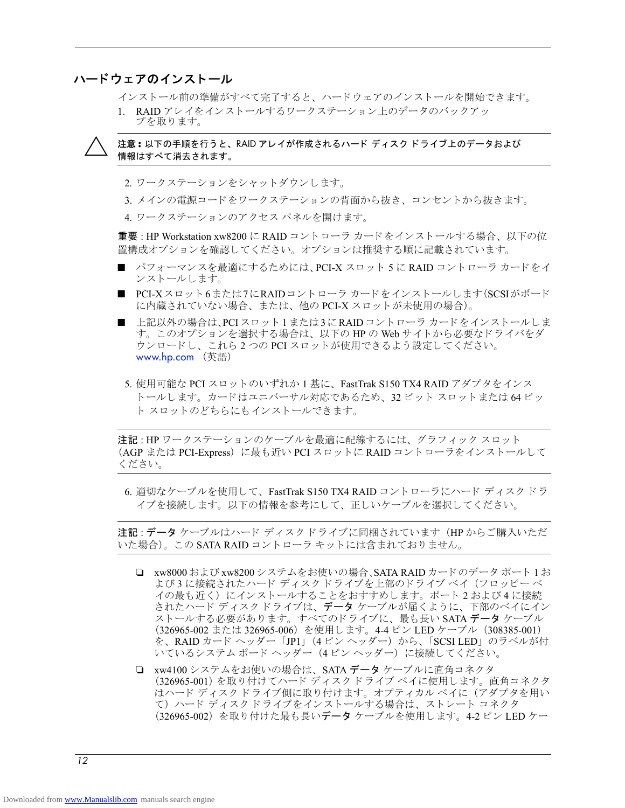### ハード ウェ アのインス ト ール

インストール前の準備がすべて完了すると、ハードウェアのインストールを開始できます。

1. RAID アレイをインストールするワークステーション上のデータのバックアッ プを取ります。

Ä 注意 **:** 以下の手順を行う と、 RAID アレ イが作成されるハー ド デ ィ スク ド ラ イブ上のデータおよび 情報はすべて消去されます。

- 2. ワークステーションをシャットダウンします。
- 3. メインの電源コードをワークステーションの背面から抜き、コンセントから抜きます。
- 4. ワークステーションのアクセス パネルを開けます。

重要 : HP Workstation xw8200 に RAID コン ト ローラ カード を イ ン ス ト ールする場合、 以下の位 置構成オプションを確認してください。オプションは推奨する順に記載されています。

- パフォーマンスを最適にするためには、PCI-X スロット 5 に RAID コントローラ カードをイ ン ス ト ールし ます。
- PCI-Xスロット6または7にRAIDコントローラ カードをインストールします(SCSIがボード に内蔵されていない場合、または、他の PCI-X スロットが未使用の場合)。
- 上記以外の場合は、PCIスロット1または3にRAID コントローラ カードをインストールしま す。このオプションを選択する場合は、以下の HP の Web サイトから必要なドライバをダ ウンロードし、これら2つの PCI スロットが使用できるよう設定してください。 www.hp.com (英語)
- 5. 使用可能な PCI ス ロ ッ ト のいずれか 1 基に、 FastTrak S150 TX4 RAID アダプタをインス ト ールし ます。 カード はユニバーサル対応であ る ため、 32 ビット スロ ッ ト または 64 ビ ッ ト スロットのどちらにもインストールできます。

注記 : HP ワークステーションのケーブルを最適に配線するには、 グラフィック スロット (AGP または PCI-Express) に最も近い PCI スロットに RAID コントローラをインストールして く ださい。

6. 適切なケーブルを使用して、FastTrak S150 TX4 RAID コントローラにハード ディスクドラ イブを接続します。以下の情報を参考にして、正しいケーブルを選択してください。

注記 : データ ケーブルはハード ディスク ドライブに同梱されています (HP からご購入いただ いた場合)。この SATA RAID コントローラ キットには含まれておりません。

- ❏ xw8000 および xw8200 システムをお使いの場合、SATA RAID カード のデータ ポー ト 1 お よび 3 に接続されたハード ディスク ドライブを上部のドライブ ベイ(フロッピー ベ イの最も近く) にインストールすることをおすすめします。ポート 2 および 4 に接続 されたハード ディスクドライブは、データケーブルが届くように、下部のベイにイン ストールする必要があります。すべてのドライブに、最も長い SATA データ ケーブル (326965-002 または 326965-006) を使用し ます。 4-4 ピン LED ケーブル (308385-001) を、RAID カード ヘッダー「JP1」 (4 ピン ヘッダー) から、「SCSI LED」のラベルが付 いているシステム ボード ヘッダー (4ピン ヘッダー)に接続してください。
- □ xw4100 システムをお使いの場合は、SATA データ ケーブルに直角コネクタ (326965-001) を取り付けてハード ディスク ドライブ ベイに使用します。直角コネクタ はハード ディスクドライブ側に取り付けます。オプティカル ベイに (アダプタを用い て) ハード ディスク ドライブをインストールする場合は、ストレート コネクタ (326965-002) を取り 付けた最も長いデータ ケーブルを使用し ます。 4-2 ピン LED ケー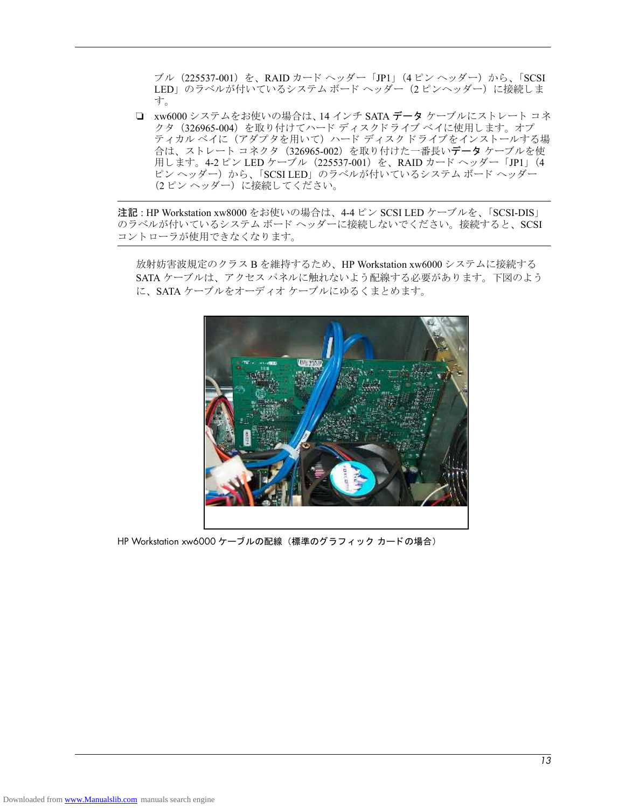ブル (225537-001) を、 RAID カード ヘッダー 「JP1」 (4 ピン ヘッ ダー) から、 「SCSI LED」のラベルが付いているシステム ボード ヘッダー (2 ピンヘッダー) に接続しま す。

❏ xw6000 システムをお使いの場合は、14 インチ SATA データ ケーブルにス ト レー ト コネ クタ (326965-004) を取り付けてハード ディスクドライブ ベイに使用します。オプ ティカル ベイに (アダプタを用いて) ハード ディスク ドライブをインストールする場 合は、ストレート コネクタ (326965-002) を取り付けた一番長いデータケーブルを使 用し ます。 4-2 ピン LED ケーブル (225537-001) を、 RAID カード ヘッダー 「JP1」 (4 ピンヘッダー)から、「SCSI LED」のラベルが付いているシステム ボードヘッダー (2ピンヘッダー)に接続してください。

注記 : HP Workstation xw8000 をお使いの場合は、4-4 ピン SCSI LED ケーブルを、「SCSI-DIS」 のラベルが付いているシステム ボード ヘッダーに接続しないでください。接続すると、SCSI コントローラが使用できなくなります。

放射妨害波規定の ク ラ ス B を維持するため、 HP Workstation xw6000 システムに接続する SATA ケーブルは、アクセスパネルに触れないよう配線する必要があります。下図のよう に、SATA ケーブルをオーディオケーブルにゆるくまとめます。



HP Workstation xw6000 ケーブルの配線 (標準のグラフィック カードの場合)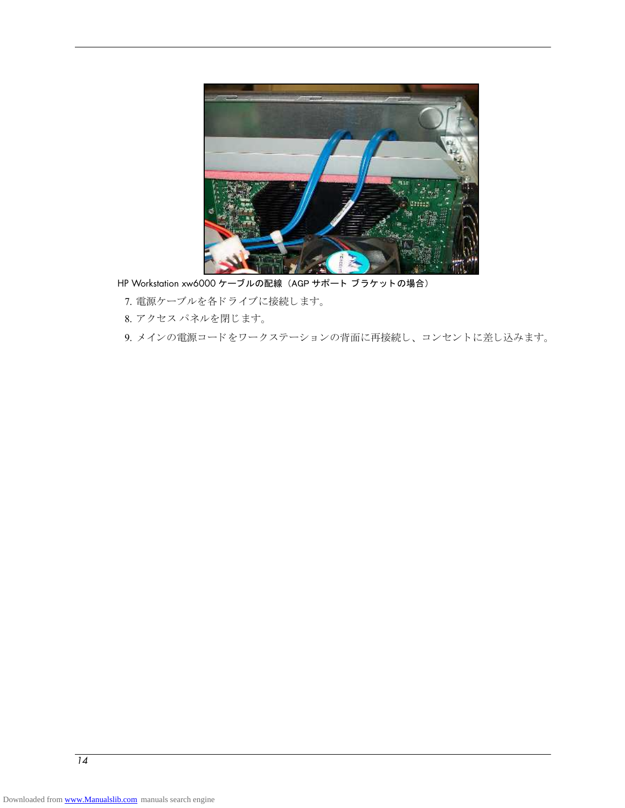

HP Workstation xw6000 ケーブルの配線 (AGP サポート ブラケットの場合)

- 7. 電源ケーブルを各ドライブに接続します。
- 8. アクセス パネルを閉じます。

9. メインの電源コードをワークステーションの背面に再接続し、コンセントに差し込みます。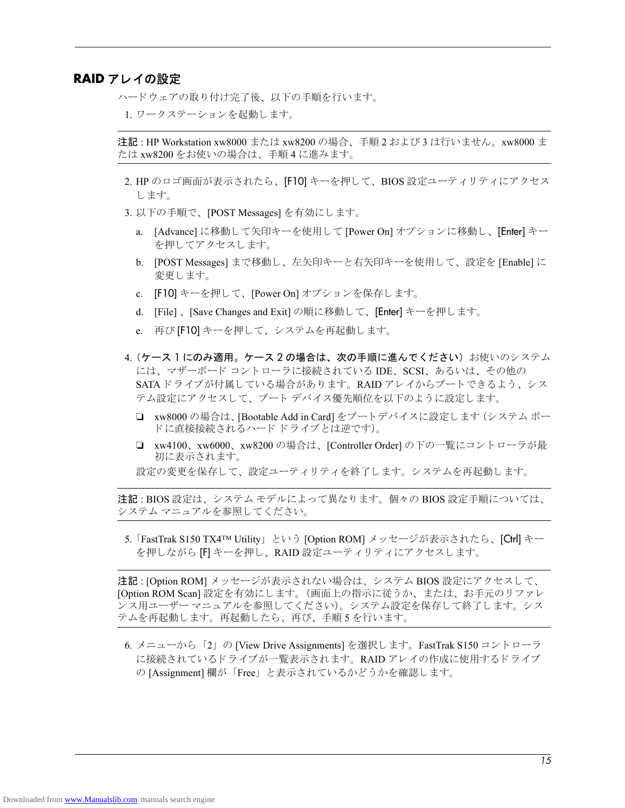#### **RAID** アレ イの設定

ハードウェアの取り付け完了後、以下の手順を行います。

1. ワークステーションを起動します。

注記 : HP Workstation xw8000 または xw8200 の場合、 手順 2 および 3 は行いません。 xw8000 ま たは xw8200 をお使いの場合は、 手順 4 に進みます。

- 2. HP のロゴ画面が表示されたら、[F10] キーを押して、BIOS 設定ユーティリティにアクセス し ます。
- 3. 以下の手順で、 [POST Messages] を有効にし ます。
	- a. [Advance] に移動し て矢印キーを使用し て [Power On] オプシ ョ ンに移動し、 [Enter] キー を押し てア ク セス し ます。
	- b. [POST Messages] まで移動し、 左矢印キーと 右矢印キーを使用し て、 設定を [Enable] に 変更します。
	- c. [F10] キーを押して、 [Power On] オプシ ョ ンを保存し ます。
	- d. [File] 、 [Save Changes and Exit] の順に移動し て、 [Enter] キーを押し ます。
	- e. 再び [F10] キーを押して、システムを再起動します。
- 4. (ケース 1 にのみ適用。ケース 2 の場合は、次の手順に進んでください) お使いのシステム には、マザーボード コントローラに接続されている IDE、SCSI、あるいは、その他の SATAドライブが付属している場合があります。RAID アレイからブートできるよう、シス テム設定にアクセスして、ブート デバイス優先順位を以下のように設定します。
	- ❏ xw8000 の場合は、[Bootable Add in Card] をブー ト デバイ スに設定し ます (システム ボー ドに直接接続されるハード ドライブとは逆です)。
	- ❏ xw4100、 xw6000、 xw8200 の場合は、 [Controller Order] の下の一覧にコ ン ト ローラが最 初に表示されます。
	- 設定の変更を保存して、設定ユーティリティを終了します。システムを再起動します。

注記: BIOS設定は、システムモデルによって異なります。個々の BIOS設定手順については、 システム マニュアルを参照してください。

5. 「FastTrak S150 TX4™ Utility」 という [Option ROM] メ ッ セージが表示された ら、 [Ctrl] キー を押しながら [F] キーを押し、RAID 設定ユーティリティにアクセスします。

注記: [Option ROM] メッセージが表示されない場合は、システム BIOS 設定にアクセスして、 [Option ROM Scan] 設定を有効にします。 (画面上の指示に従うか、または、お手元のリファレ ンス用ユーザー マニュアルを参照してください)。システム設定を保存して終了します。シス テムを再起動し ます。 再起動し た ら、 再び、 手順 5 を行います。

6. メ ニューから 「2」 の [View Drive Assignments] を選択し ます。 FastTrak S150 コン ト ローラ に接続されているドライブが一覧表示されます。RAID アレイの作成に使用するドライブ の[Assignment] 欄が「Free」と表示されているかどうかを確認します。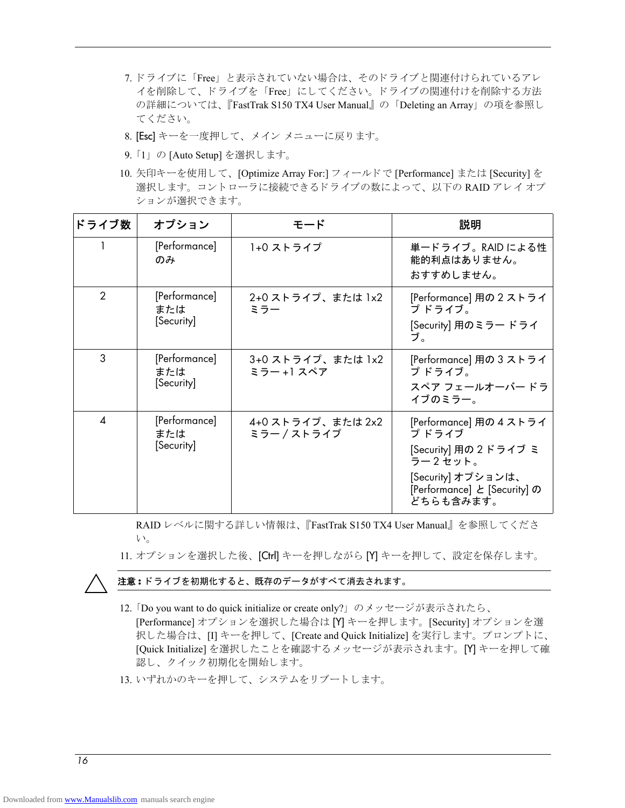- 7. ドライブに「Free」と表示されていない場合は、そのドライブと関連付けられているアレ イを削除して、ドライブを「Free」にしてください。ドライブの関連付けを削除する方法 の詳細については、 『FastTrak S150 TX4 User Manual』の「Deleting an Array」 の項を参照し て く ださい。
- 8. [Esc] キーを一度押して、メイン メニューに戻ります。
- 9. 「1」 の [Auto Setup] を選択し ます。
- 10. 矢印キーを使用し て、 [Optimize Array For:] フ ィ ール ド で [Performance] または [Security] を 選択します。コントローラに接続できるドライブの数によって、以下の RAID アレイオプ ションが選択できます。

| ドライブ数                     | オプション                              | モード                             | 説明                                                                                                                                     |
|---------------------------|------------------------------------|---------------------------------|----------------------------------------------------------------------------------------------------------------------------------------|
|                           | [Performance]<br>のみ                | 1+0 ストライプ                       | 単一ドライブ。RAID による性<br>能的利点はありません。<br>おすすめしません。                                                                                           |
| $\overline{2}$            | [Performance]<br>または<br>[Security] | 2+0 ストライプ、または 1x2<br>ミラー        | [Performance] 用の 2 ストライ<br>プドライブ。<br>[Security] 用のミラー ドライ<br>ブ。                                                                        |
| 3                         | [Performance]<br>または<br>[Security] | 3+0 ストライプ、または 1x2<br>ミラー +1 スペア | [Performance] 用の 3 ストライ<br>プドライブ。<br>スペア フェールオーバー ドラ<br>イブのミラー。                                                                        |
| $\boldsymbol{\varLambda}$ | [Performance]<br>または<br>[Security] | 4+0 ストライプ、または 2x2<br>ミラー/ストライプ  | [Performance] 用の 4 ストライ<br>プドライブ<br>[Security] 用の2ドライブ ミ<br>ラー2セット。<br>[Security] オプションは、<br>[Performance] と [Security] の<br>どちらも含みます。 |

RAID レベルに関する詳しい情報は、『FastTrak S150 TX4 User Manual』を参照してくださ い。

11. オプションを選択した後、[Ctrl] キーを押しながら [Y] キーを押して、設定を保存します。



Ä 注意 **:** ド ラ イブを初期化する と、 既存のデータがすべて消去されます。

- 12. 「Do you want to do quick initialize or create only?」 のメッセージが表示されたら、 [Performance] オプシ ョ ンを選択し た場合は [Y] キーを押し ます。 [Security] オプシ ョ ンを選 択した場合は、 [I] キーを押して、 [Create and Quick Initialize] を実行します。プロンプトに、 [Quick Initialize] を選択し た こ と を確認する メ ッ セージが表示されます。 [Y] キーを押して確 認し、クイック初期化を開始します。
- 13. いずれかのキーを押して、システムをリブートします。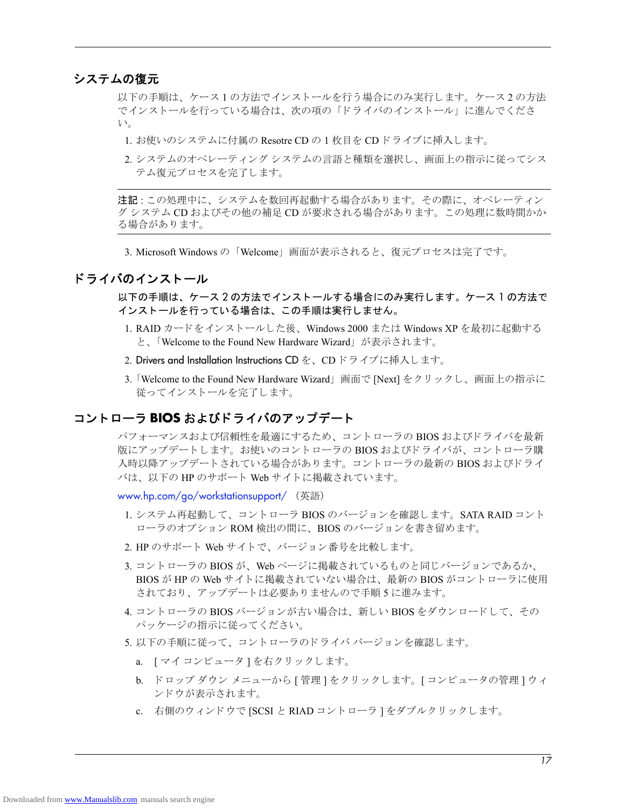### システムの復元

以下の手順は、ケース1の方法でインストールを行う場合にのみ実行します。ケース2の方法 でインストールを行っている場合は、次の項の「ドライバのインストール」に進んでくださ い。

- 1. お使いのシステムに付属の Resotre CD の 1 枚目を CD ドライブに挿入します。
- 2. システムのオペレーティング システムの言語と種類を選択し、画面上の指示に従ってシス テム復元プロセス を完了し ます。

注記:この処理中に、システムを数回再起動する場合があります。その際に、オペレーティン グ システム CD およびその他の補足 CD が要求される場合があります。この処理に数時間かか る場合があります。

3. Microsoft Windows の「Welcome」画面が表示されると、復元プロセスは完了です。

### ドライバのインストール

以下の手順は、ケース2の方法でインストールする場合にのみ実行します。ケース1の方法で イ ンス ト ールを行っている場合は、 この手順は実行し ません。

- 1. RAID カードをインストールした後、Windows 2000 または Windows XP を最初に起動する と、 「Welcome to the Found New Hardware Wizard」 が表示されます。
- 2. Drivers and Installation Instructions CD を、CD ドライブに挿入します。
- 3. 「Welcome to the Found New Hardware Wizard」 画面で [Next] を ク リ ッ ク し、 画面上の指示に 従ってインストールを完了します。

### コン トローラ **BIOS** および ド ラ イバのア ッ プデー ト

パフォーマンスおよび信頼性を最適にするため、コントローラの BIOS およびドライバを最新 版にアップデートします。お使いのコントローラの BIOS およびドライバが、コントローラ購 入時以降アップデートされている場合があります。コントローラの最新の BIOS およびドライ バは、以下の HP のサポート Web サイトに掲載されています。

www.hp.com/go/workstationsupport/ (英語)

- 1. システム再起動して、コントローラ BIOS のバージョンを確認します。SATA RAID コント ローラのオプション ROM 検出の間に、BIOS のバージョンを書き留めます。
- 2. HP のサポート Web サイトで、バージョン番号を比較します。
- 3. コントローラの BIOS が、 Web ページに掲載されているものと同じバージョンであるか、 BIOS が HP の Web サイトに掲載されていない場合は、最新の BIOS がコントローラに使用 されており、アップデートは必要ありませんので手順5に進みます。
- 4. コントローラの BIOS バージョンが古い場合は、新しい BIOS をダウンロードして、その パッケージの指示に従ってください。
- 5. 以下の手順に従って、コントローラのドライバ バージョンを確認します。
	- a. [ マイ コンピュータ] を右クリックします。
	- b. ドロップ ダウン メニューから [ 管理 ] をクリックします。[ コンピュータの管理 ] ウィ ン ド ウが表示されます。
	- c. 右側のウィンドウで [SCSI と RIAD コントローラ ] をダブルクリックします。